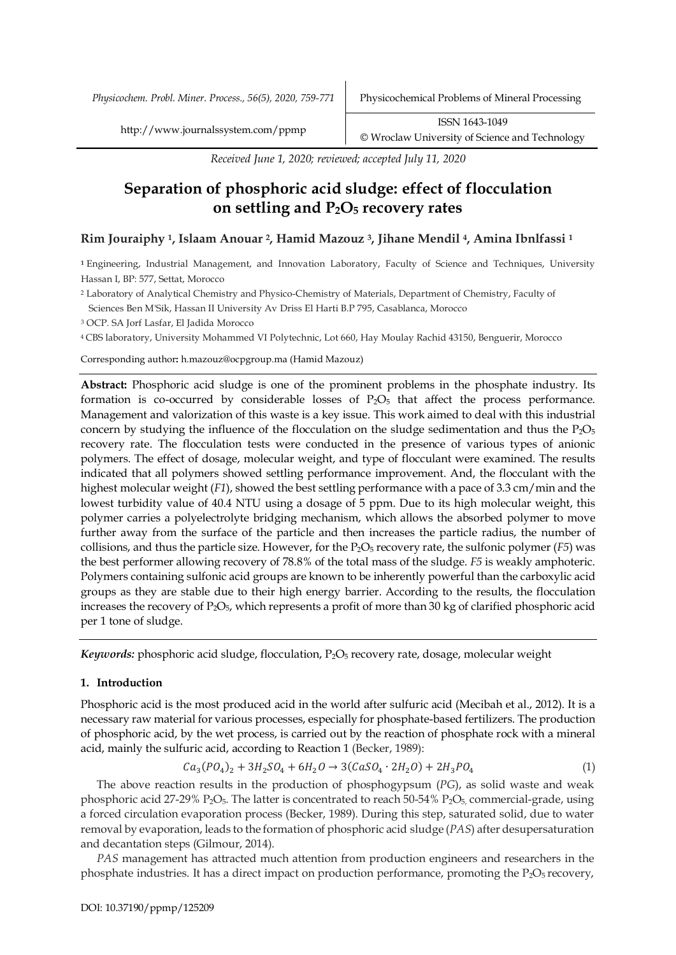*Physicochem. Probl. Miner. Process., 56(5), 2020, 759-771* Physicochemical Problems of Mineral Processing

*Received June 1, 2020; reviewed; accepted July 11, 2020*

# **Separation of phosphoric acid sludge: effect of flocculation on settling and P2O5 recovery rates**

# **Rim Jouraiphy 1, Islaam Anouar 2, Hamid Mazouz 3, Jihane Mendil 4, Amina Ibnlfassi <sup>1</sup>**

**<sup>1</sup>** Engineering, Industrial Management, and Innovation Laboratory, Faculty of Science and Techniques, University Hassan I, BP: 577, Settat, Morocco

<sup>2</sup> Laboratory of Analytical Chemistry and Physico-Chemistry of Materials, Department of Chemistry, Faculty of

Sciences Ben M'Sik, Hassan II University Av Driss El Harti B.P 795, Casablanca, Morocco

<sup>3</sup> OCP. SA Jorf Lasfar, El Jadida Morocco

4 CBS laboratory, University Mohammed VI Polytechnic, Lot 660, Hay Moulay Rachid 43150, Benguerir, Morocco

Corresponding author**:** h.mazouz@ocpgroup.ma (Hamid Mazouz)

**Abstract:** Phosphoric acid sludge is one of the prominent problems in the phosphate industry. Its formation is co-occurred by considerable losses of  $P_2O_5$  that affect the process performance. Management and valorization of this waste is a key issue. This work aimed to deal with this industrial concern by studying the influence of the flocculation on the sludge sedimentation and thus the  $P_2O_5$ recovery rate. The flocculation tests were conducted in the presence of various types of anionic polymers. The effect of dosage, molecular weight, and type of flocculant were examined. The results indicated that all polymers showed settling performance improvement. And, the flocculant with the highest molecular weight (*F1*), showed the best settling performance with a pace of 3.3 cm/min and the lowest turbidity value of 40.4 NTU using a dosage of 5 ppm. Due to its high molecular weight, this polymer carries a polyelectrolyte bridging mechanism, which allows the absorbed polymer to move further away from the surface of the particle and then increases the particle radius, the number of collisions, and thus the particle size. However, for the  $P_2O_5$  recovery rate, the sulfonic polymer ( $F_5$ ) was the best performer allowing recovery of 78.8% of the total mass of the sludge. *F5* is weakly amphoteric. Polymers containing sulfonic acid groups are known to be inherently powerful than the carboxylic acid groups as they are stable due to their high energy barrier. According to the results, the flocculation increases the recovery of  $P_2O_{5}$ , which represents a profit of more than 30 kg of clarified phosphoric acid per 1 tone of sludge.

*Keywords:* phosphoric acid sludge, flocculation, P<sub>2</sub>O<sub>5</sub> recovery rate, dosage, molecular weight

## **1. Introduction**

Phosphoric acid is the most produced acid in the world after sulfuric acid (Mecibah et al., 2012). It is a necessary raw material for various processes, especially for phosphate-based fertilizers. The production of phosphoric acid, by the wet process, is carried out by the reaction of phosphate rock with a mineral acid, mainly the sulfuric acid, according to Reaction 1 (Becker, 1989):

$$
Ca_3(PO_4)_2 + 3H_2SO_4 + 6H_2O \rightarrow 3(CaSO_4 \cdot 2H_2O) + 2H_3PO_4 \tag{1}
$$

The above reaction results in the production of phosphogypsum (*PG*), as solid waste and weak phosphoric acid 27-29%  $P_2O_5$ . The latter is concentrated to reach 50-54%  $P_2O_5$ , commercial-grade, using a forced circulation evaporation process (Becker, 1989). During this step, saturated solid, due to water removal by evaporation, leads to the formation of phosphoric acid sludge (*PAS*) after desupersaturation and decantation steps (Gilmour, 2014).

*PAS* management has attracted much attention from production engineers and researchers in the phosphate industries. It has a direct impact on production performance, promoting the  $P_2O_5$  recovery,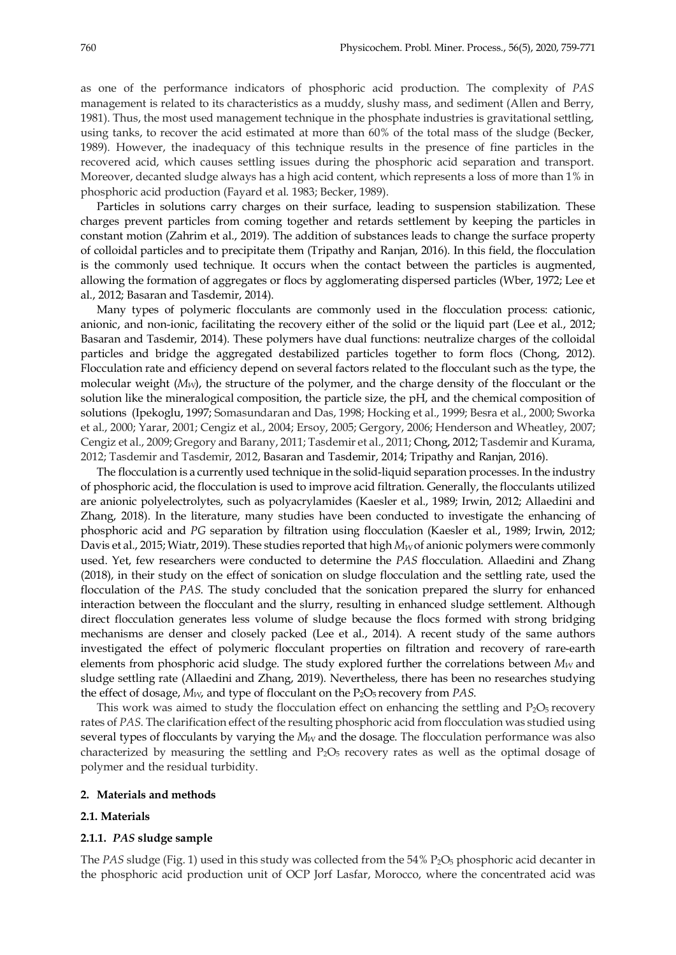as one of the performance indicators of phosphoric acid production. The complexity of *PAS* management is related to its characteristics as a muddy, slushy mass, and sediment (Allen and Berry, 1981). Thus, the most used management technique in the phosphate industries is gravitational settling, using tanks, to recover the acid estimated at more than 60% of the total mass of the sludge (Becker, 1989). However, the inadequacy of this technique results in the presence of fine particles in the recovered acid, which causes settling issues during the phosphoric acid separation and transport. Moreover, decanted sludge always has a high acid content, which represents a loss of more than 1% in phosphoric acid production (Fayard et al. 1983; Becker, 1989).

Particles in solutions carry charges on their surface, leading to suspension stabilization. These charges prevent particles from coming together and retards settlement by keeping the particles in constant motion (Zahrim et al., 2019). The addition of substances leads to change the surface property of colloidal particles and to precipitate them (Tripathy and Ranjan, 2016). In this field, the flocculation is the commonly used technique. It occurs when the contact between the particles is augmented, allowing the formation of aggregates or flocs by agglomerating dispersed particles (Wber, 1972; Lee et al., 2012; Basaran and Tasdemir, 2014).

Many types of polymeric flocculants are commonly used in the flocculation process: cationic, anionic, and non-ionic, facilitating the recovery either of the solid or the liquid part (Lee et al., 2012; Basaran and Tasdemir, 2014). These polymers have dual functions: neutralize charges of the colloidal particles and bridge the aggregated destabilized particles together to form flocs (Chong, 2012). Flocculation rate and efficiency depend on several factors related to the flocculant such as the type, the molecular weight (*MW*), the structure of the polymer, and the charge density of the flocculant or the solution like the mineralogical composition, the particle size, the pH, and the chemical composition of solutions (Ipekoglu, 1997; Somasundaran and Das, 1998; Hocking et al., 1999; Besra et al., 2000; Sworka et al., 2000; Yarar, 2001; Cengiz et al., 2004; Ersoy, 2005; Gergory, 2006; Henderson and Wheatley, 2007; Cengiz et al., 2009; Gregory and Barany, 2011; Tasdemir et al., 2011; Chong, 2012; Tasdemir and Kurama, 2012; Tasdemir and Tasdemir, 2012, Basaran and Tasdemir, 2014; Tripathy and Ranjan, 2016).

The flocculation is a currently used technique in the solid-liquid separation processes. In the industry of phosphoric acid, the flocculation is used to improve acid filtration. Generally, the flocculants utilized are anionic polyelectrolytes, such as polyacrylamides (Kaesler et al., 1989; Irwin, 2012; Allaedini and Zhang, 2018). In the literature, many studies have been conducted to investigate the enhancing of phosphoric acid and *PG* separation by filtration using flocculation (Kaesler et al., 1989; Irwin, 2012; Davis et al., 2015; Wiatr, 2019). These studies reported that high  $M_W$  of anionic polymers were commonly used. Yet, few researchers were conducted to determine the *PAS* flocculation. Allaedini and Zhang (2018), in their study on the effect of sonication on sludge flocculation and the settling rate, used the flocculation of the *PAS*. The study concluded that the sonication prepared the slurry for enhanced interaction between the flocculant and the slurry, resulting in enhanced sludge settlement. Although direct flocculation generates less volume of sludge because the flocs formed with strong bridging mechanisms are denser and closely packed (Lee et al., 2014). A recent study of the same authors investigated the effect of polymeric flocculant properties on filtration and recovery of rare-earth elements from phosphoric acid sludge. The study explored further the correlations between  $M_W$  and sludge settling rate (Allaedini and Zhang, 2019). Nevertheless, there has been no researches studying the effect of dosage,  $M_{W}$ , and type of flocculant on the  $P_2O_5$  recovery from *PAS*.

This work was aimed to study the flocculation effect on enhancing the settling and  $P_2O_5$  recovery rates of *PAS*. The clarification effect of the resulting phosphoric acid from flocculation was studied using several types of flocculants by varying the *M<sub>W</sub>* and the dosage. The flocculation performance was also characterized by measuring the settling and  $P_2O_5$  recovery rates as well as the optimal dosage of polymer and the residual turbidity.

#### **2. Materials and methods**

## **2.1. Materials**

#### **2.1.1.** *PAS* **sludge sample**

The *PAS* sludge (Fig. 1) used in this study was collected from the 54% P<sub>2</sub>O<sub>5</sub> phosphoric acid decanter in the phosphoric acid production unit of OCP Jorf Lasfar, Morocco, where the concentrated acid was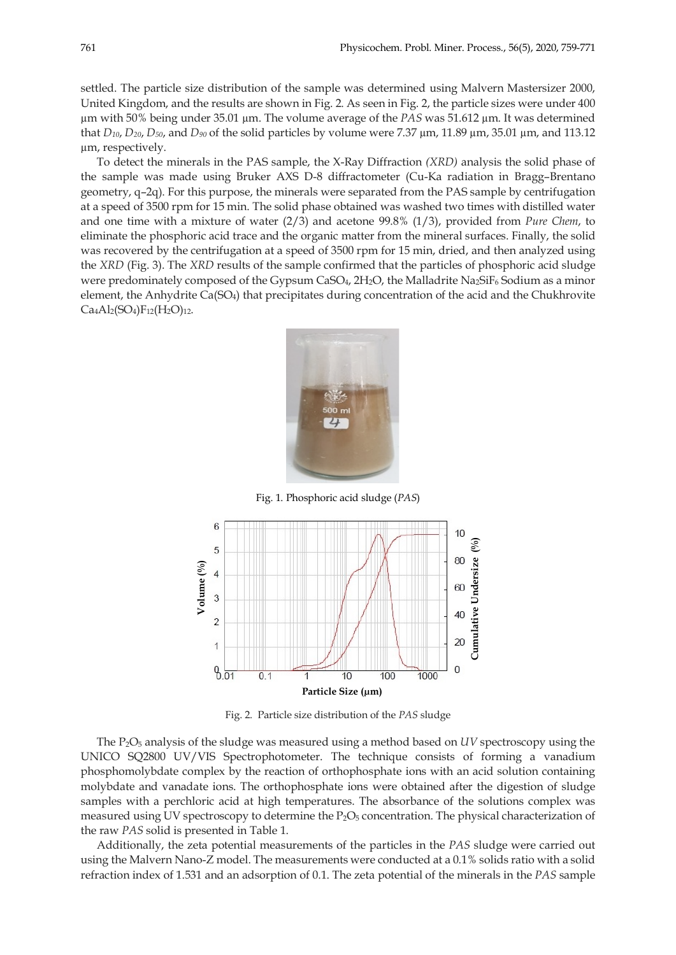settled. The particle size distribution of the sample was determined using Malvern Mastersizer 2000, United Kingdom, and the results are shown in Fig. 2. As seen in Fig. 2, the particle sizes were under 400 µm with 50% being under 35.01 µm. The volume average of the *PAS* was 51.612 µm. It was determined that *D10*, *D20*, *D50*, and *D90* of the solid particles by volume were 7.37 µm, 11.89 µm, 35.01 µm, and 113.12 µm, respectively.

To detect the minerals in the PAS sample, the X-Ray Diffraction *(XRD)* analysis the solid phase of the sample was made using Bruker AXS D-8 diffractometer (Cu-Ka radiation in Bragg–Brentano geometry, q–2q). For this purpose, the minerals were separated from the PAS sample by centrifugation at a speed of 3500 rpm for 15 min. The solid phase obtained was washed two times with distilled water and one time with a mixture of water (2/3) and acetone 99.8% (1/3), provided from *Pure Chem*, to eliminate the phosphoric acid trace and the organic matter from the mineral surfaces. Finally, the solid was recovered by the centrifugation at a speed of 3500 rpm for 15 min, dried, and then analyzed using the *XRD* (Fig. 3). The *XRD* results of the sample confirmed that the particles of phosphoric acid sludge were predominately composed of the Gypsum CaSO<sub>4</sub>, 2H<sub>2</sub>O, the Malladrite Na<sub>2</sub>SiF<sub>6</sub> Sodium as a minor element, the Anhydrite Ca(SO<sub>4</sub>) that precipitates during concentration of the acid and the Chukhrovite  $Ca<sub>4</sub>Al<sub>2</sub>(SO<sub>4</sub>)F<sub>12</sub>(H<sub>2</sub>O)<sub>12</sub>.$ 



Fig. 1. Phosphoric acid sludge (*PAS*)



Fig. 2. Particle size distribution of the *PAS* sludge

The P<sub>2</sub>O<sub>5</sub> analysis of the sludge was measured using a method based on *UV* spectroscopy using the UNICO SQ2800 UV/VIS Spectrophotometer. The technique consists of forming a vanadium phosphomolybdate complex by the reaction of orthophosphate ions with an acid solution containing molybdate and vanadate ions. The orthophosphate ions were obtained after the digestion of sludge samples with a perchloric acid at high temperatures. The absorbance of the solutions complex was measured using UV spectroscopy to determine the  $P_2O_5$  concentration. The physical characterization of the raw *PAS* solid is presented in Table 1.

Additionally, the zeta potential measurements of the particles in the *PAS* sludge were carried out using the Malvern Nano-Z model. The measurements were conducted at a 0.1% solids ratio with a solid refraction index of 1.531 and an adsorption of 0.1. The zeta potential of the minerals in the *PAS* sample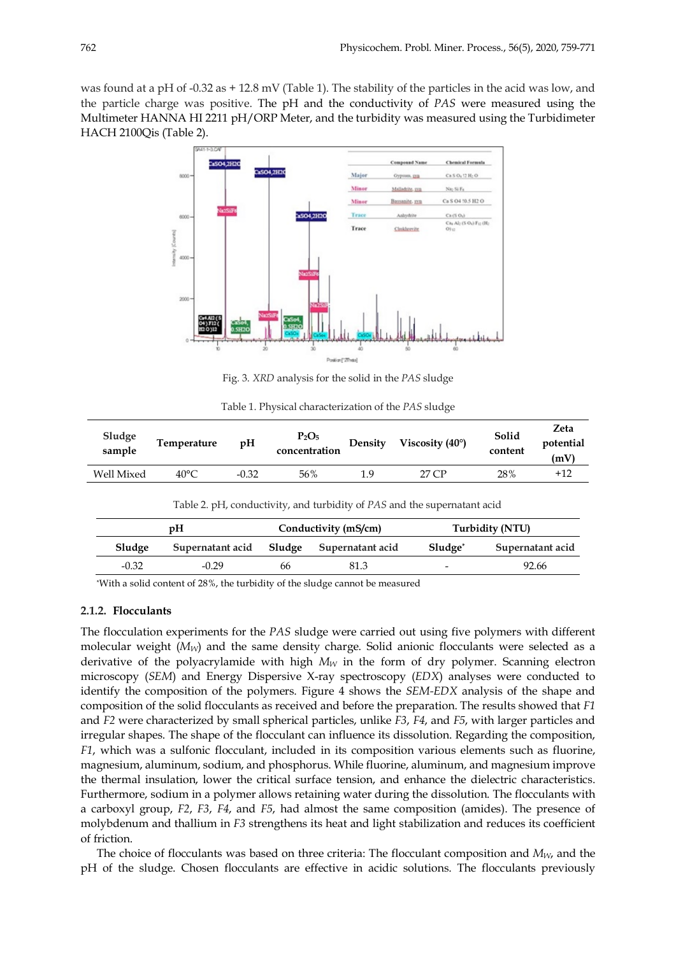was found at a pH of -0.32 as + 12.8 mV (Table 1). The stability of the particles in the acid was low, and the particle charge was positive. The pH and the conductivity of *PAS* were measured using the Multimeter HANNA HI 2211 pH/ORP Meter, and the turbidity was measured using the Turbidimeter HACH 2100Qis (Table 2).



Fig. 3. *XRD* analysis for the solid in the *PAS* sludge

|  | Table 1. Physical characterization of the PAS sludge |  |  |
|--|------------------------------------------------------|--|--|
|  |                                                      |  |  |

| Sludge<br>sample  | Temperature    | pH      | $P_2O_5$<br>concentration | Density | Viscosity $(40^{\circ})$ | Solid<br>content | Zeta<br>potential<br>(mV) |
|-------------------|----------------|---------|---------------------------|---------|--------------------------|------------------|---------------------------|
| <b>Well Mixed</b> | $40^{\circ}$ C | $-0.32$ | 56%                       | 1 Q     | 27 CP                    | 28%              | $+12$                     |

Table 2. pH, conductivity, and turbidity of *PAS* and the supernatant acid

|         | pH               |    | Conductivity (mS/cm)       | Turbidity (NTU) |                  |  |
|---------|------------------|----|----------------------------|-----------------|------------------|--|
| Sludge  | Supernatant acid |    | Sludge<br>Supernatant acid |                 | Supernatant acid |  |
| $-0.32$ | $-0.29$          | 66 | 81.3                       |                 | 92.66            |  |

\*With a solid content of 28%, the turbidity of the sludge cannot be measured

## **2.1.2. Flocculants**

The flocculation experiments for the *PAS* sludge were carried out using five polymers with different molecular weight ( $M_W$ ) and the same density charge. Solid anionic flocculants were selected as a derivative of the polyacrylamide with high  $M_W$  in the form of dry polymer. Scanning electron microscopy (*SEM*) and Energy Dispersive X-ray spectroscopy (*EDX*) analyses were conducted to identify the composition of the polymers. Figure 4 shows the *SEM-EDX* analysis of the shape and composition of the solid flocculants as received and before the preparation. The results showed that *F1* and *F2* were characterized by small spherical particles, unlike *F3*, *F4*, and *F5*, with larger particles and irregular shapes. The shape of the flocculant can influence its dissolution. Regarding the composition, *F1*, which was a sulfonic flocculant, included in its composition various elements such as fluorine, magnesium, aluminum, sodium, and phosphorus. While fluorine, aluminum, and magnesium improve the thermal insulation, lower the critical surface tension, and enhance the dielectric characteristics. Furthermore, sodium in a polymer allows retaining water during the dissolution. The flocculants with a carboxyl group, *F2*, *F3*, *F4*, and *F5*, had almost the same composition (amides). The presence of molybdenum and thallium in *F3* strengthens its heat and light stabilization and reduces its coefficient of friction.

The choice of flocculants was based on three criteria: The flocculant composition and *MW*, and the pH of the sludge. Chosen flocculants are effective in acidic solutions. The flocculants previously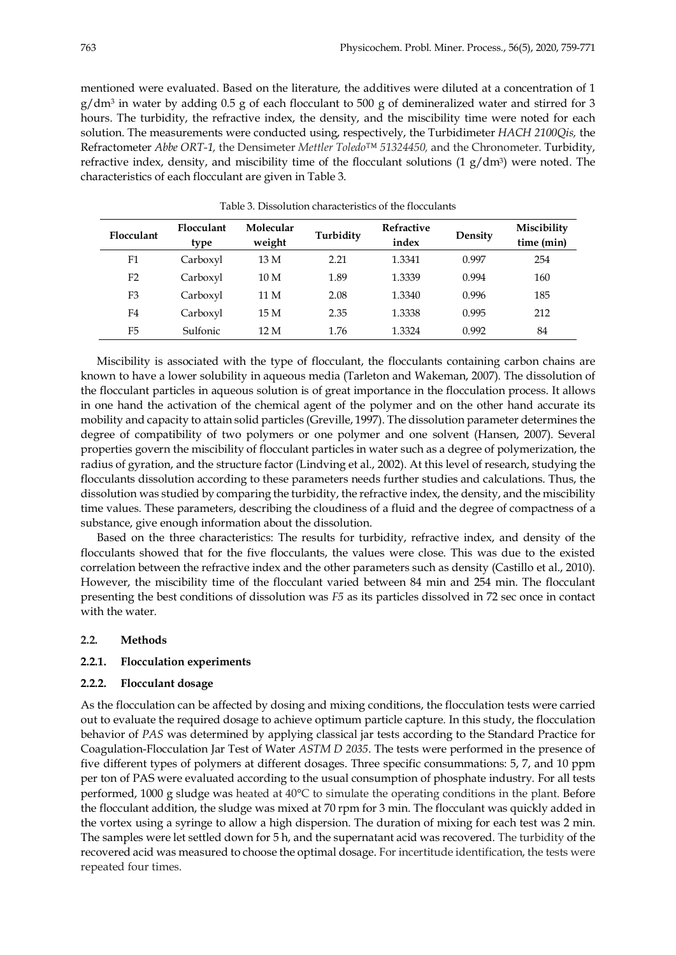mentioned were evaluated. Based on the literature, the additives were diluted at a concentration of 1  $g/dm<sup>3</sup>$  in water by adding 0.5 g of each flocculant to 500 g of demineralized water and stirred for 3 hours. The turbidity, the refractive index, the density, and the miscibility time were noted for each solution. The measurements were conducted using, respectively, the Turbidimeter *HACH 2100Qis,* the Refractometer *Abbe ORT-1,* the Densimeter *Mettler Toledo™ 51324450,* and the Chronometer. Turbidity, refractive index, density, and miscibility time of the flocculant solutions  $(1 g/dm<sup>3</sup>)$  were noted. The characteristics of each flocculant are given in Table 3.

| Flocculant     | Flocculant<br>type | Molecular<br>weight | Turbidity | <b>Refractive</b><br>index | Density | Miscibility<br>time (min) |
|----------------|--------------------|---------------------|-----------|----------------------------|---------|---------------------------|
| F1             | Carboxyl           | 13 M                | 2.21      | 1.3341                     | 0.997   | 254                       |
| F <sub>2</sub> | Carboxyl           | 10 M                | 1.89      | 1.3339                     | 0.994   | 160                       |
| F <sub>3</sub> | Carboxyl           | 11 M                | 2.08      | 1.3340                     | 0.996   | 185                       |
| F4             | Carboxyl           | 15 M                | 2.35      | 1.3338                     | 0.995   | 212                       |
| F5             | Sulfonic           | 12 M                | 1.76      | 1.3324                     | 0.992   | 84                        |

Table 3. Dissolution characteristics of the flocculants

Miscibility is associated with the type of flocculant, the flocculants containing carbon chains are known to have a lower solubility in aqueous media (Tarleton and Wakeman, 2007). The dissolution of the flocculant particles in aqueous solution is of great importance in the flocculation process. It allows in one hand the activation of the chemical agent of the polymer and on the other hand accurate its mobility and capacity to attain solid particles (Greville, 1997). The dissolution parameter determines the degree of compatibility of two polymers or one polymer and one solvent (Hansen, 2007). Several properties govern the miscibility of flocculant particles in water such as a degree of polymerization, the radius of gyration, and the structure factor (Lindving et al., 2002). At this level of research, studying the flocculants dissolution according to these parameters needs further studies and calculations. Thus, the dissolution was studied by comparing the turbidity, the refractive index, the density, and the miscibility time values. These parameters, describing the cloudiness of a fluid and the degree of compactness of a substance, give enough information about the dissolution.

Based on the three characteristics: The results for turbidity, refractive index, and density of the flocculants showed that for the five flocculants, the values were close. This was due to the existed correlation between the refractive index and the other parameters such as density (Castillo et al., 2010). However, the miscibility time of the flocculant varied between 84 min and 254 min. The flocculant presenting the best conditions of dissolution was *F5* as its particles dissolved in 72 sec once in contact with the water.

# **2.2. Methods**

# **2.2.1. Flocculation experiments**

### **2.2.2. Flocculant dosage**

As the flocculation can be affected by dosing and mixing conditions, the flocculation tests were carried out to evaluate the required dosage to achieve optimum particle capture. In this study, the flocculation behavior of *PAS* was determined by applying classical jar tests according to the Standard Practice for Coagulation-Flocculation Jar Test of Water *ASTM D 2035*. The tests were performed in the presence of five different types of polymers at different dosages. Three specific consummations: 5, 7, and 10 ppm per ton of PAS were evaluated according to the usual consumption of phosphate industry. For all tests performed, 1000 g sludge was heated at 40°C to simulate the operating conditions in the plant. Before the flocculant addition, the sludge was mixed at 70 rpm for 3 min. The flocculant was quickly added in the vortex using a syringe to allow a high dispersion. The duration of mixing for each test was 2 min. The samples were let settled down for 5 h, and the supernatant acid was recovered. The turbidity of the recovered acid was measured to choose the optimal dosage. For incertitude identification, the tests were repeated four times.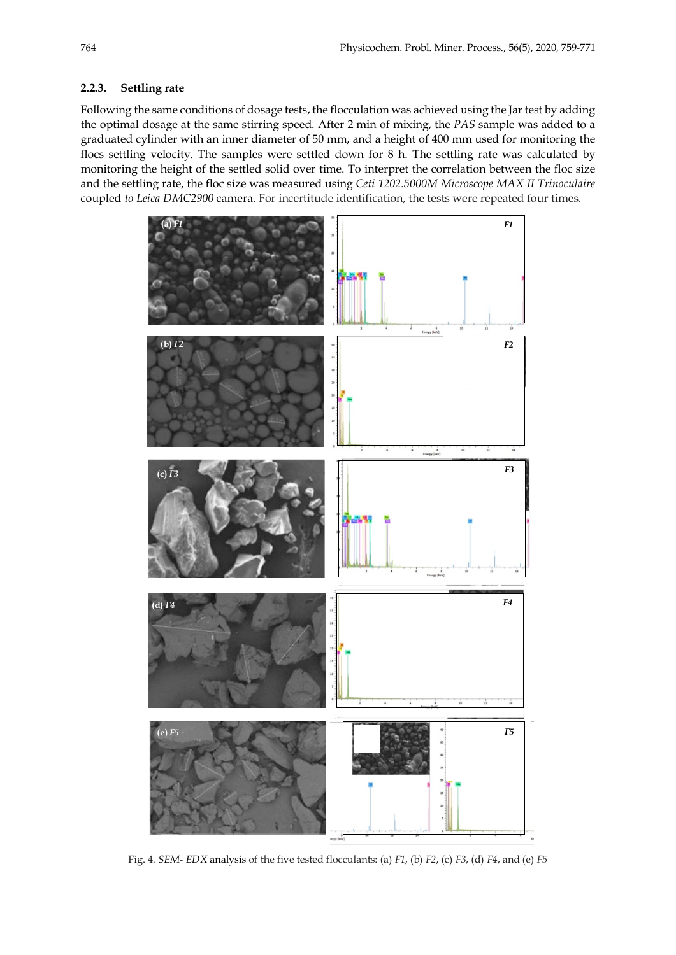## **2.2.3. Settling rate**

Following the same conditions of dosage tests, the flocculation was achieved using the Jar test by adding the optimal dosage at the same stirring speed. After 2 min of mixing, the *PAS* sample was added to a graduated cylinder with an inner diameter of 50 mm, and a height of 400 mm used for monitoring the flocs settling velocity. The samples were settled down for 8 h. The settling rate was calculated by monitoring the height of the settled solid over time. To interpret the correlation between the floc size and the settling rate, the floc size was measured using *Ceti 1202.5000M Microscope MAX II Trinoculaire*  coupled *to Leica DMC2900* camera. For incertitude identification, the tests were repeated four times.



Fig. 4. *SEM*- *EDX* analysis of the five tested flocculants: (a) *F1*, (b) *F2*, (c) *F3*, (d) *F4*, and (e) *F5*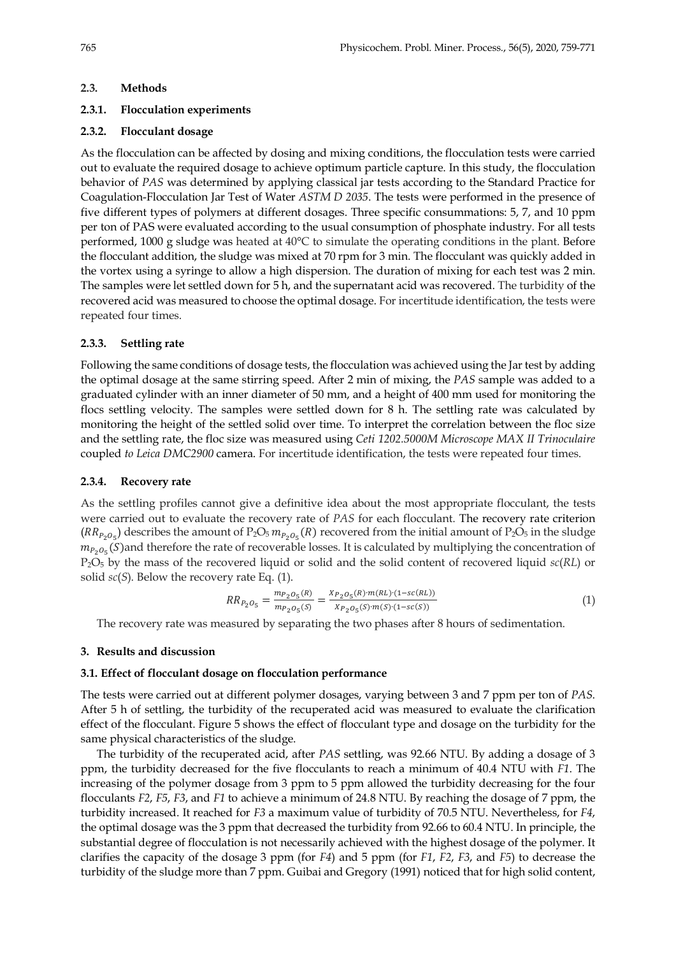#### **2.3. Methods**

#### **2.3.1. Flocculation experiments**

#### **2.3.2. Flocculant dosage**

As the flocculation can be affected by dosing and mixing conditions, the flocculation tests were carried out to evaluate the required dosage to achieve optimum particle capture. In this study, the flocculation behavior of *PAS* was determined by applying classical jar tests according to the Standard Practice for Coagulation-Flocculation Jar Test of Water *ASTM D 2035*. The tests were performed in the presence of five different types of polymers at different dosages. Three specific consummations: 5, 7, and 10 ppm per ton of PAS were evaluated according to the usual consumption of phosphate industry. For all tests performed, 1000 g sludge was heated at 40°C to simulate the operating conditions in the plant. Before the flocculant addition, the sludge was mixed at 70 rpm for 3 min. The flocculant was quickly added in the vortex using a syringe to allow a high dispersion. The duration of mixing for each test was 2 min. The samples were let settled down for 5 h, and the supernatant acid was recovered. The turbidity of the recovered acid was measured to choose the optimal dosage. For incertitude identification, the tests were repeated four times.

#### **2.3.3. Settling rate**

Following the same conditions of dosage tests, the flocculation was achieved using the Jar test by adding the optimal dosage at the same stirring speed. After 2 min of mixing, the *PAS* sample was added to a graduated cylinder with an inner diameter of 50 mm, and a height of 400 mm used for monitoring the flocs settling velocity. The samples were settled down for 8 h. The settling rate was calculated by monitoring the height of the settled solid over time. To interpret the correlation between the floc size and the settling rate, the floc size was measured using *Ceti 1202.5000M Microscope MAX II Trinoculaire*  coupled *to Leica DMC2900* camera. For incertitude identification, the tests were repeated four times.

## **2.3.4. Recovery rate**

As the settling profiles cannot give a definitive idea about the most appropriate flocculant, the tests were carried out to evaluate the recovery rate of *PAS* for each flocculant. The recovery rate criterion  $(RR_{P_2O_5})$  describes the amount of P<sub>2</sub>O<sub>5</sub>  $m_{P_2O_5}(R)$  recovered from the initial amount of P<sub>2</sub>O<sub>5</sub> in the sludge  $m_{P_2O_5}(S)$ and therefore the rate of recoverable losses. It is calculated by multiplying the concentration of P2O5 by the mass of the recovered liquid or solid and the solid content of recovered liquid *sc*(*RL*) or solid *sc*(*S*). Below the recovery rate Eq. (1).

$$
RR_{P_2O_5} = \frac{m_{P_2O_5}(R)}{m_{P_2O_5}(S)} = \frac{X_{P_2O_5}(R) \cdot m(RL) \cdot (1 - sc(RL))}{X_{P_2O_5}(S) \cdot m(S) \cdot (1 - sc(S))}
$$
\n<sup>(1)</sup>

The recovery rate was measured by separating the two phases after 8 hours of sedimentation.

#### **3. Results and discussion**

#### **3.1. Effect of flocculant dosage on flocculation performance**

The tests were carried out at different polymer dosages, varying between 3 and 7 ppm per ton of *PAS*. After 5 h of settling, the turbidity of the recuperated acid was measured to evaluate the clarification effect of the flocculant. Figure 5 shows the effect of flocculant type and dosage on the turbidity for the same physical characteristics of the sludge.

The turbidity of the recuperated acid, after *PAS* settling, was 92.66 NTU. By adding a dosage of 3 ppm, the turbidity decreased for the five flocculants to reach a minimum of 40.4 NTU with *F1*. The increasing of the polymer dosage from 3 ppm to 5 ppm allowed the turbidity decreasing for the four flocculants *F2*, *F5*, *F3*, and *F1* to achieve a minimum of 24.8 NTU. By reaching the dosage of 7 ppm, the turbidity increased. It reached for *F3* a maximum value of turbidity of 70.5 NTU. Nevertheless, for *F4*, the optimal dosage was the 3 ppm that decreased the turbidity from 92.66 to 60.4 NTU. In principle, the substantial degree of flocculation is not necessarily achieved with the highest dosage of the polymer. It clarifies the capacity of the dosage 3 ppm (for *F4*) and 5 ppm (for *F1*, *F2*, *F3*, and *F5*) to decrease the turbidity of the sludge more than 7 ppm. Guibai and Gregory (1991) noticed that for high solid content,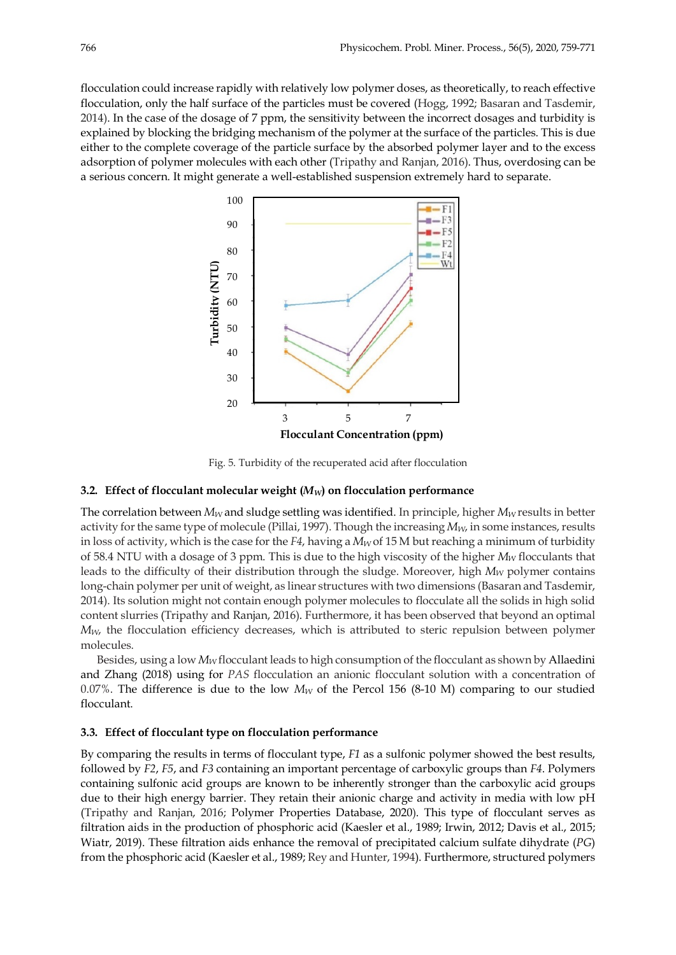flocculation could increase rapidly with relatively low polymer doses, as theoretically, to reach effective flocculation, only the half surface of the particles must be covered (Hogg, 1992; Basaran and Tasdemir, 2014). In the case of the dosage of 7 ppm, the sensitivity between the incorrect dosages and turbidity is explained by blocking the bridging mechanism of the polymer at the surface of the particles. This is due either to the complete coverage of the particle surface by the absorbed polymer layer and to the excess adsorption of polymer molecules with each other (Tripathy and Ranjan, 2016). Thus, overdosing can be a serious concern. It might generate a well-established suspension extremely hard to separate.



Fig. 5. Turbidity of the recuperated acid after flocculation

## **3.2. Effect of flocculant molecular weight (***MW***) on flocculation performance**

The correlation between  $M_W$  and sludge settling was identified. In principle, higher  $M_W$  results in better activity for the same type of molecule (Pillai, 1997). Though the increasing  $M_W$ , in some instances, results in loss of activity, which is the case for the  $F4$ , having a  $M_W$  of 15 M but reaching a minimum of turbidity of 58.4 NTU with a dosage of 3 ppm. This is due to the high viscosity of the higher *MW* flocculants that leads to the difficulty of their distribution through the sludge. Moreover, high  $M_W$  polymer contains long-chain polymer per unit of weight, as linear structures with two dimensions (Basaran and Tasdemir, 2014). Its solution might not contain enough polymer molecules to flocculate all the solids in high solid content slurries (Tripathy and Ranjan, 2016). Furthermore, it has been observed that beyond an optimal *MW*, the flocculation efficiency decreases, which is attributed to steric repulsion between polymer molecules.

Besides, using a low  $M_W$  flocculant leads to high consumption of the flocculant as shown by Allaedini and Zhang (2018) using for *PAS* flocculation an anionic flocculant solution with a concentration of 0.07%. The difference is due to the low  $M_W$  of the Percol 156 (8-10 M) comparing to our studied flocculant.

## **3.3. Effect of flocculant type on flocculation performance**

By comparing the results in terms of flocculant type, *F1* as a sulfonic polymer showed the best results, followed by *F2*, *F5*, and *F3* containing an important percentage of carboxylic groups than *F4*. Polymers containing sulfonic acid groups are known to be inherently stronger than the carboxylic acid groups due to their high energy barrier. They retain their anionic charge and activity in media with low pH (Tripathy and Ranjan, 2016; Polymer Properties Database, 2020). This type of flocculant serves as filtration aids in the production of phosphoric acid (Kaesler et al., 1989; Irwin, 2012; Davis et al., 2015; Wiatr, 2019). These filtration aids enhance the removal of precipitated calcium sulfate dihydrate (*PG*) from the phosphoric acid (Kaesler et al., 1989; Rey and Hunter, 1994). Furthermore, structured polymers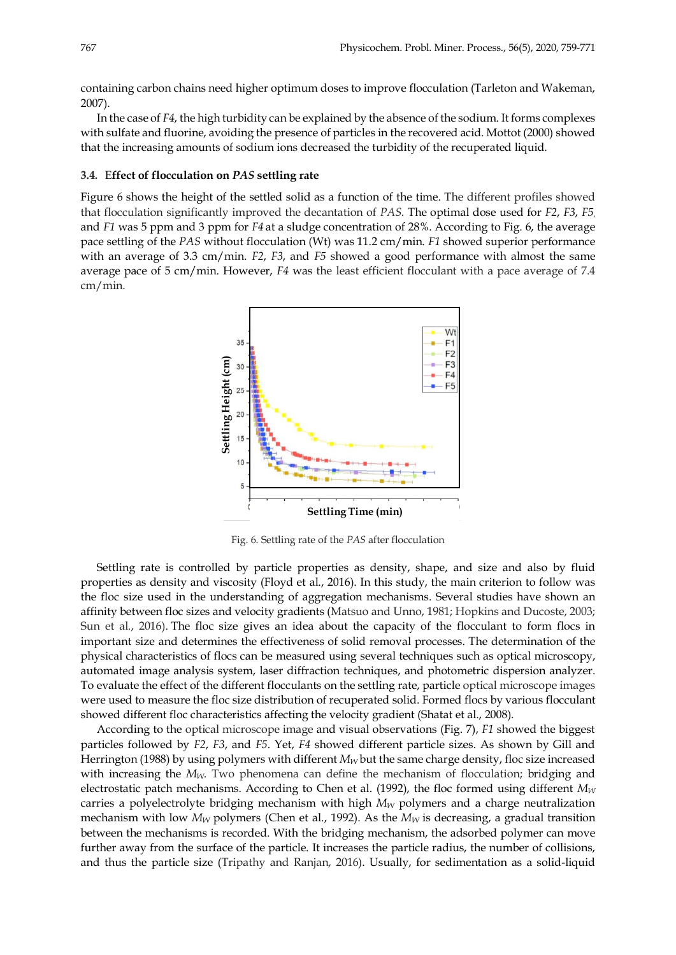containing carbon chains need higher optimum doses to improve flocculation (Tarleton and Wakeman, 2007).

In the case of *F4*, the high turbidity can be explained by the absence of the sodium. It forms complexes with sulfate and fluorine, avoiding the presence of particles in the recovered acid. Mottot (2000) showed that the increasing amounts of sodium ions decreased the turbidity of the recuperated liquid.

### **3.4.** E**ffect of flocculation on** *PAS* **settling rate**

Figure 6 shows the height of the settled solid as a function of the time. The different profiles showed that flocculation significantly improved the decantation of *PAS*. The optimal dose used for *F2*, *F3*, *F5*, and *F1* was 5 ppm and 3 ppm for *F4* at a sludge concentration of 28%. According to Fig. 6, the average pace settling of the *PAS* without flocculation (Wt) was 11.2 cm/min. *F1* showed superior performance with an average of 3.3 cm/min. *F2*, *F3*, and *F5* showed a good performance with almost the same average pace of 5 cm/min. However, *F4* was the least efficient flocculant with a pace average of 7.4 cm/min.



Fig. 6. Settling rate of the *PAS* after flocculation

Settling rate is controlled by particle properties as density, shape, and size and also by fluid properties as density and viscosity (Floyd et al., 2016). In this study, the main criterion to follow was the floc size used in the understanding of aggregation mechanisms. Several studies have shown an affinity between floc sizes and velocity gradients (Matsuo and Unno, 1981; Hopkins and Ducoste, 2003; Sun et al., 2016). The floc size gives an idea about the capacity of the flocculant to form flocs in important size and determines the effectiveness of solid removal processes. The determination of the physical characteristics of flocs can be measured using several techniques such as optical microscopy, automated image analysis system, laser diffraction techniques, and photometric dispersion analyzer. To evaluate the effect of the different flocculants on the settling rate, particle optical microscope images were used to measure the floc size distribution of recuperated solid. Formed flocs by various flocculant showed different floc characteristics affecting the velocity gradient (Shatat et al., 2008). **Example 19 a Example 19 a Example 19 a Example 19 Example 19 a Example 19 Example 19 Example 19 Example 19 Example 19 Example 19 Example 19 Example 19 Example 19 Example 19 Example 1** 

According to the optical microscope image and visual observations (Fig. 7), *F1* showed the biggest particles followed by *F2*, *F3*, and *F5*. Yet, *F4* showed different particle sizes. As shown by Gill and Herrington (1988) by using polymers with different  $M_W$  but the same charge density, floc size increased with increasing the  $M_W$ . Two phenomena can define the mechanism of flocculation; bridging and electrostatic patch mechanisms. According to Chen et al. (1992), the floc formed using different  $M_W$ carries a polyelectrolyte bridging mechanism with high  $M_W$  polymers and a charge neutralization mechanism with low  $M_W$  polymers (Chen et al., 1992). As the  $M_W$  is decreasing, a gradual transition between the mechanisms is recorded. With the bridging mechanism, the adsorbed polymer can move further away from the surface of the particle. It increases the particle radius, the number of collisions,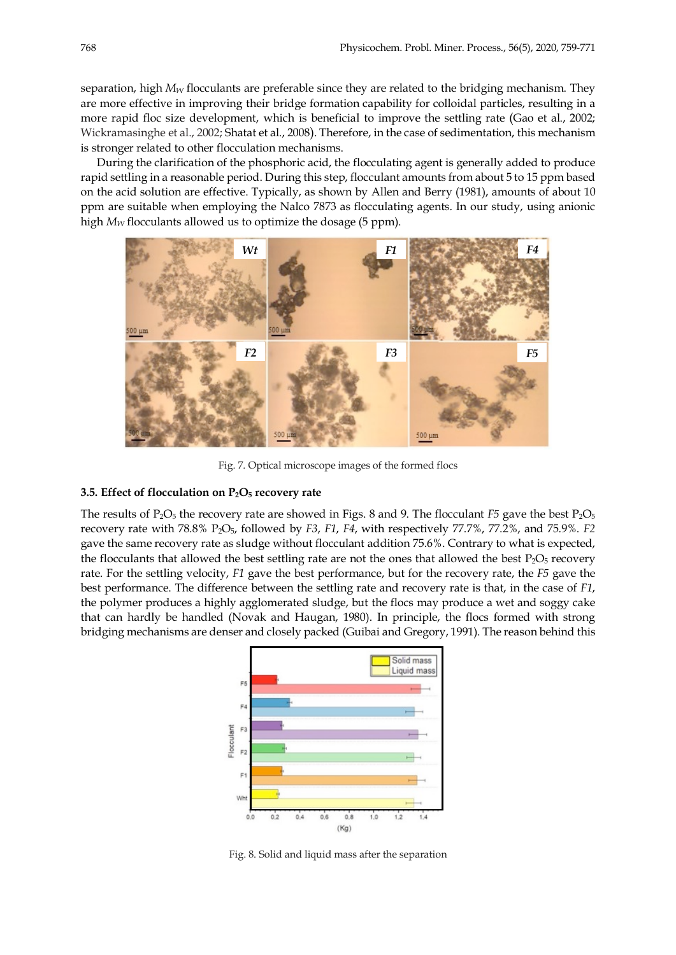separation, high  $M_W$  flocculants are preferable since they are related to the bridging mechanism. They are more effective in improving their bridge formation capability for colloidal particles, resulting in a more rapid floc size development, which is beneficial to improve the settling rate (Gao et al., 2002; Wickramasinghe et al., 2002; Shatat et al., 2008). Therefore, in the case of sedimentation, this mechanism is stronger related to other flocculation mechanisms.

During the clarification of the phosphoric acid, the flocculating agent is generally added to produce rapid settling in a reasonable period. During this step, flocculant amounts from about 5 to 15 ppm based on the acid solution are effective. Typically, as shown by Allen and Berry (1981), amounts of about 10 ppm are suitable when employing the Nalco 7873 as flocculating agents. In our study, using anionic high  $M_W$  flocculants allowed us to optimize the dosage (5 ppm).



Fig. 7. Optical microscope images of the formed flocs

### **3.5. Effect of flocculation on P2O5 recovery rate**

The results of  $P_2O_5$  the recovery rate are showed in Figs. 8 and 9. The flocculant *F5* gave the best  $P_2O_5$ recovery rate with 78.8% P2O5, followed by *F3*, *F1*, *F4*, with respectively 77.7%, 77.2%, and 75.9%. *F2* gave the same recovery rate as sludge without flocculant addition 75.6%. Contrary to what is expected, the flocculants that allowed the best settling rate are not the ones that allowed the best  $P_2O_5$  recovery rate. For the settling velocity, *F1* gave the best performance, but for the recovery rate, the *F5* gave the best performance. The difference between the settling rate and recovery rate is that, in the case of *F1*, the polymer produces a highly agglomerated sludge, but the flocs may produce a wet and soggy cake that can hardly be handled (Novak and Haugan, 1980). In principle, the flocs formed with strong bridging mechanisms are denser and closely packed (Guibai and Gregory, 1991). The reason behind this



Fig. 8. Solid and liquid mass after the separation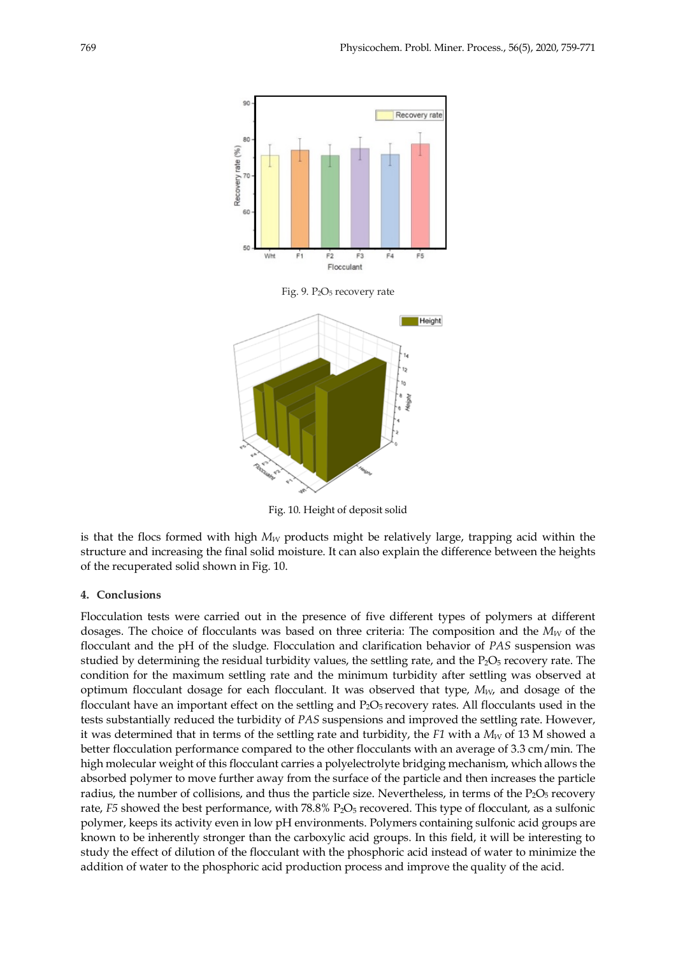

Fig. 10. Height of deposit solid

is that the flocs formed with high  $M_W$  products might be relatively large, trapping acid within the structure and increasing the final solid moisture. It can also explain the difference between the heights of the recuperated solid shown in Fig. 10.

#### **4. Conclusions**

Flocculation tests were carried out in the presence of five different types of polymers at different dosages. The choice of flocculants was based on three criteria: The composition and the *M<sub>W</sub>* of the flocculant and the pH of the sludge. Flocculation and clarification behavior of *PAS* suspension was studied by determining the residual turbidity values, the settling rate, and the P<sub>2</sub>O<sub>5</sub> recovery rate. The condition for the maximum settling rate and the minimum turbidity after settling was observed at optimum flocculant dosage for each flocculant. It was observed that type, *MW*, and dosage of the flocculant have an important effect on the settling and  $P_2O_5$  recovery rates. All flocculants used in the tests substantially reduced the turbidity of *PAS* suspensions and improved the settling rate. However, it was determined that in terms of the settling rate and turbidity, the  $F1$  with a  $M_W$  of 13 M showed a better flocculation performance compared to the other flocculants with an average of 3.3 cm/min. The high molecular weight of this flocculant carries a polyelectrolyte bridging mechanism, which allows the absorbed polymer to move further away from the surface of the particle and then increases the particle radius, the number of collisions, and thus the particle size. Nevertheless, in terms of the  $P_2O_5$  recovery rate, *F5* showed the best performance, with 78.8% P<sub>2</sub>O<sub>5</sub> recovered. This type of flocculant, as a sulfonic polymer, keeps its activity even in low pH environments. Polymers containing sulfonic acid groups are known to be inherently stronger than the carboxylic acid groups. In this field, it will be interesting to study the effect of dilution of the flocculant with the phosphoric acid instead of water to minimize the addition of water to the phosphoric acid production process and improve the quality of the acid.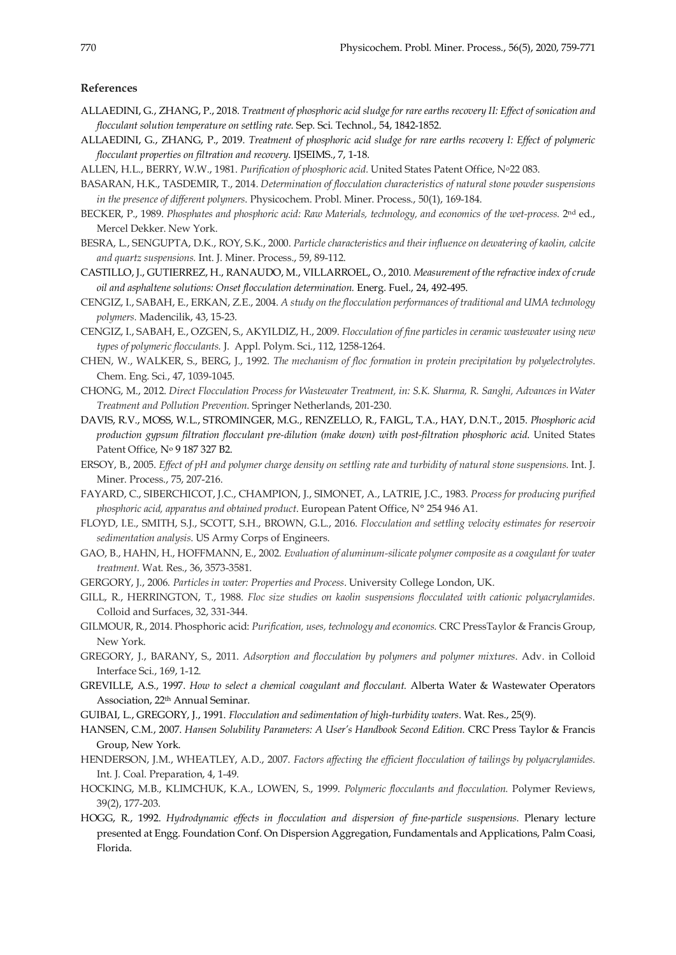#### **References**

- ALLAEDINI, G., ZHANG, P., 2018. *Treatment of phosphoric acid sludge for rare earths recovery II: Effect of sonication and flocculant solution temperature on settling rate*. Sep. Sci. Technol., 54, 1842-1852.
- ALLAEDINI, G., ZHANG, P., 2019. *Treatment of phosphoric acid sludge for rare earths recovery I: Effect of polymeric flocculant properties on filtration and recovery*. IJSEIMS., 7, 1-18.
- ALLEN, H.L., BERRY, W.W., 1981. *Purification of phosphoric acid.* United States Patent Office, No22 083.
- BASARAN, H.K., TASDEMIR, T., 2014. *Determination of flocculation characteristics of natural stone powder suspensions in the presence of different polymers*. Physicochem. Probl. Miner. Process., 50(1), 169-184.
- BECKER, P., 1989. *Phosphates and phosphoric acid: Raw Materials, technology, and economics of the wet-process.* 2nd ed., Mercel Dekker. New York.
- BESRA, L., SENGUPTA, D.K., ROY, S.K., 2000. *Particle characteristics and their influence on dewatering of kaolin, calcite and quartz suspensions.* Int. J. Miner. Process., 59, 89-112.
- CASTILLO, J., GUTIERREZ, H., RANAUDO, M., VILLARROEL, O., 2010. *Measurement of the refractive index of crude oil and asphaltene solutions: Onset flocculation determination.* Energ. Fuel., 24, 492-495.
- CENGIZ, I., SABAH, E., ERKAN, Z.E., 2004. *A study on the flocculation performances of traditional and UMA technology polymers.* Madencilik, 43, 15-23.
- CENGIZ, I., SABAH, E., OZGEN, S., AKYILDIZ, H., 2009. *Flocculation of fine particles in ceramic wastewater using new types of polymeric flocculants.* J. Appl. Polym. Sci., 112, 1258-1264.
- CHEN, W., WALKER, S., BERG, J., 1992. *The mechanism of floc formation in protein precipitation by polyelectrolytes*. Chem. Eng. Sci., 47, 1039-1045.
- CHONG, M., 2012. *Direct Flocculation Process for Wastewater Treatment, in: S.K. Sharma, R. Sanghi, Advances in Water Treatment and Pollution Prevention*. Springer Netherlands, 201-230.
- DAVIS, R.V., MOSS, W.L., STROMINGER, M.G., RENZELLO, R., FAIGL, T.A., HAY, D.N.T., 2015. *Phosphoric acid production gypsum filtration flocculant pre-dilution (make down) with post-filtration phosphoric acid*. United States Patent Office, No 9 187 327 B2.
- ERSOY, B., 2005. *Effect of pH and polymer charge density on settling rate and turbidity of natural stone suspensions.* Int. J. Miner. Process., 75, 207-216.
- FAYARD, C., SIBERCHICOT, J.C., CHAMPION, J., SIMONET, A., LATRIE, J.C., 1983. *Process for producing purified phosphoric acid, apparatus and obtained product*. European Patent Office, N° 254 946 A1.
- FLOYD, I.E., SMITH, S.J., SCOTT, S.H., BROWN, G.L., 2016. *Flocculation and settling velocity estimates for reservoir sedimentation analysis*. US Army Corps of Engineers.
- GAO, B., HAHN, H., HOFFMANN, E., 2002. *Evaluation of aluminum-silicate polymer composite as a coagulant for water treatment.* Wat. Res., 36, 3573-3581.
- GERGORY, J., 2006. *Particles in water: Properties and Process*. University College London, UK.
- GILL, R., HERRINGTON, T., 1988. *Floc size studies on kaolin suspensions flocculated with cationic polyacrylamides.* Colloid and Surfaces, 32, 331-344.
- GILMOUR, R., 2014. Phosphoric acid: *Purification, uses, technology and economics.* CRC PressTaylor & Francis Group, New York.
- GREGORY, J., BARANY, S., 2011. *Adsorption and flocculation by polymers and polymer mixtures*. Adv. in Colloid Interface Sci., 169, 1-12.
- GREVILLE, A.S., 1997. *How to select a chemical coagulant and flocculant.* Alberta Water & Wastewater Operators Association, 22th Annual Seminar.
- GUIBAI, L., GREGORY, J., 1991. *Flocculation and sedimentation of high-turbidity waters*. Wat. Res., 25(9).
- HANSEN, C.M., 2007. *Hansen Solubility Parameters: A User's Handbook Second Edition*. CRC Press Taylor & Francis Group, New York.
- HENDERSON, J.M., WHEATLEY, A.D., 2007. *Factors affecting the efficient flocculation of tailings by polyacrylamides.*  Int. J. Coal. Preparation, 4, 1-49.
- HOCKING, M.B., KLIMCHUK, K.A., LOWEN, S., 1999. *Polymeric flocculants and flocculation.* Polymer Reviews, 39(2), 177-203.
- HOGG, R., 1992. *Hydrodynamic effects in flocculation and dispersion of fine-particle suspensions.* Plenary lecture presented at Engg. Foundation Conf. On Dispersion Aggregation, Fundamentals and Applications, Palm Coasi, Florida.